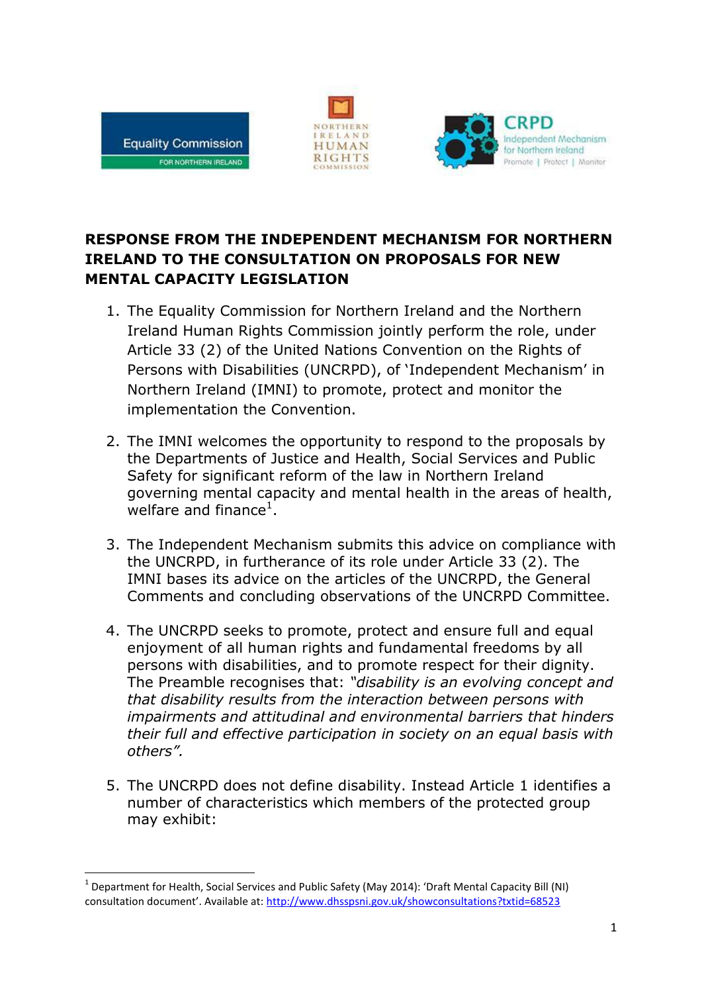

1





## **RESPONSE FROM THE INDEPENDENT MECHANISM FOR NORTHERN IRELAND TO THE CONSULTATION ON PROPOSALS FOR NEW MENTAL CAPACITY LEGISLATION**

- 1. The Equality Commission for Northern Ireland and the Northern Ireland Human Rights Commission jointly perform the role, under Article 33 (2) of the United Nations Convention on the Rights of Persons with Disabilities (UNCRPD), of 'Independent Mechanism' in Northern Ireland (IMNI) to promote, protect and monitor the implementation the Convention.
- 2. The IMNI welcomes the opportunity to respond to the proposals by the Departments of Justice and Health, Social Services and Public Safety for significant reform of the law in Northern Ireland governing mental capacity and mental health in the areas of health, welfare and finance $^1$ .
- 3. The Independent Mechanism submits this advice on compliance with the UNCRPD, in furtherance of its role under Article 33 (2). The IMNI bases its advice on the articles of the UNCRPD, the General Comments and concluding observations of the UNCRPD Committee.
- 4. The UNCRPD seeks to promote, protect and ensure full and equal enjoyment of all human rights and fundamental freedoms by all persons with disabilities, and to promote respect for their dignity. The Preamble recognises that: *"disability is an evolving concept and that disability results from the interaction between persons with impairments and attitudinal and environmental barriers that hinders their full and effective participation in society on an equal basis with others".*
- 5. The UNCRPD does not define disability. Instead Article 1 identifies a number of characteristics which members of the protected group may exhibit:

<sup>&</sup>lt;sup>1</sup> Department for Health, Social Services and Public Safety (May 2014): 'Draft Mental Capacity Bill (NI) consultation document'. Available at: <http://www.dhsspsni.gov.uk/showconsultations?txtid=68523>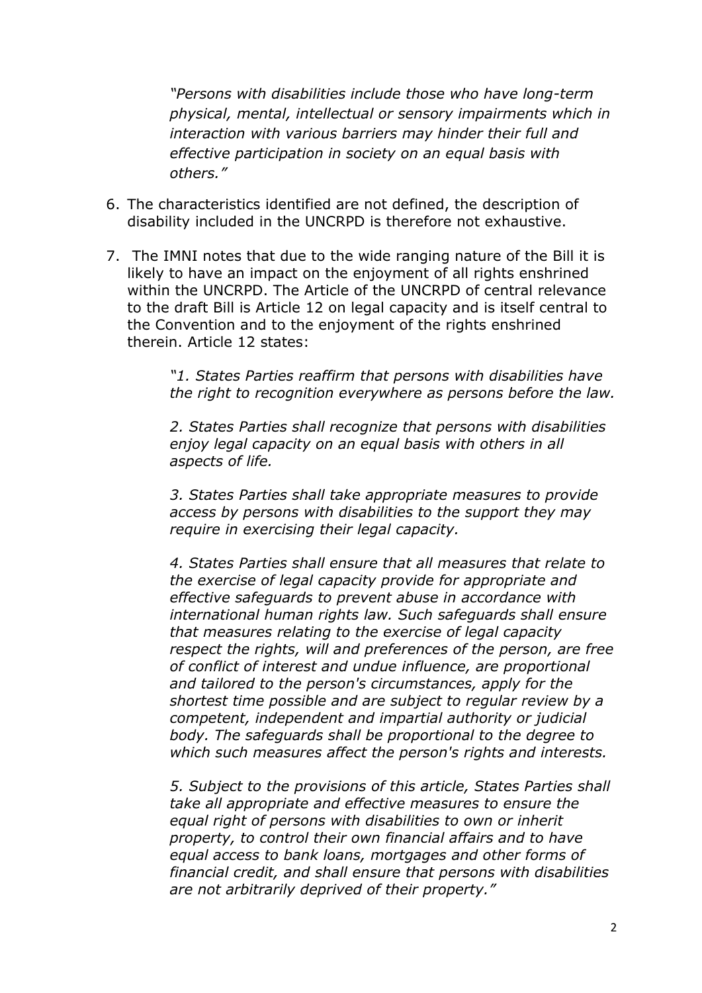*"Persons with disabilities include those who have long-term physical, mental, intellectual or sensory impairments which in interaction with various barriers may hinder their full and effective participation in society on an equal basis with others."*

- 6. The characteristics identified are not defined, the description of disability included in the UNCRPD is therefore not exhaustive.
- 7. The IMNI notes that due to the wide ranging nature of the Bill it is likely to have an impact on the enjoyment of all rights enshrined within the UNCRPD. The Article of the UNCRPD of central relevance to the draft Bill is Article 12 on legal capacity and is itself central to the Convention and to the enjoyment of the rights enshrined therein. Article 12 states:

*"1. States Parties reaffirm that persons with disabilities have the right to recognition everywhere as persons before the law.*

*2. States Parties shall recognize that persons with disabilities enjoy legal capacity on an equal basis with others in all aspects of life.*

*3. States Parties shall take appropriate measures to provide access by persons with disabilities to the support they may require in exercising their legal capacity.*

*4. States Parties shall ensure that all measures that relate to the exercise of legal capacity provide for appropriate and effective safeguards to prevent abuse in accordance with international human rights law. Such safeguards shall ensure that measures relating to the exercise of legal capacity respect the rights, will and preferences of the person, are free of conflict of interest and undue influence, are proportional and tailored to the person's circumstances, apply for the shortest time possible and are subject to regular review by a competent, independent and impartial authority or judicial body. The safeguards shall be proportional to the degree to which such measures affect the person's rights and interests.*

*5. Subject to the provisions of this article, States Parties shall take all appropriate and effective measures to ensure the equal right of persons with disabilities to own or inherit property, to control their own financial affairs and to have equal access to bank loans, mortgages and other forms of financial credit, and shall ensure that persons with disabilities are not arbitrarily deprived of their property."*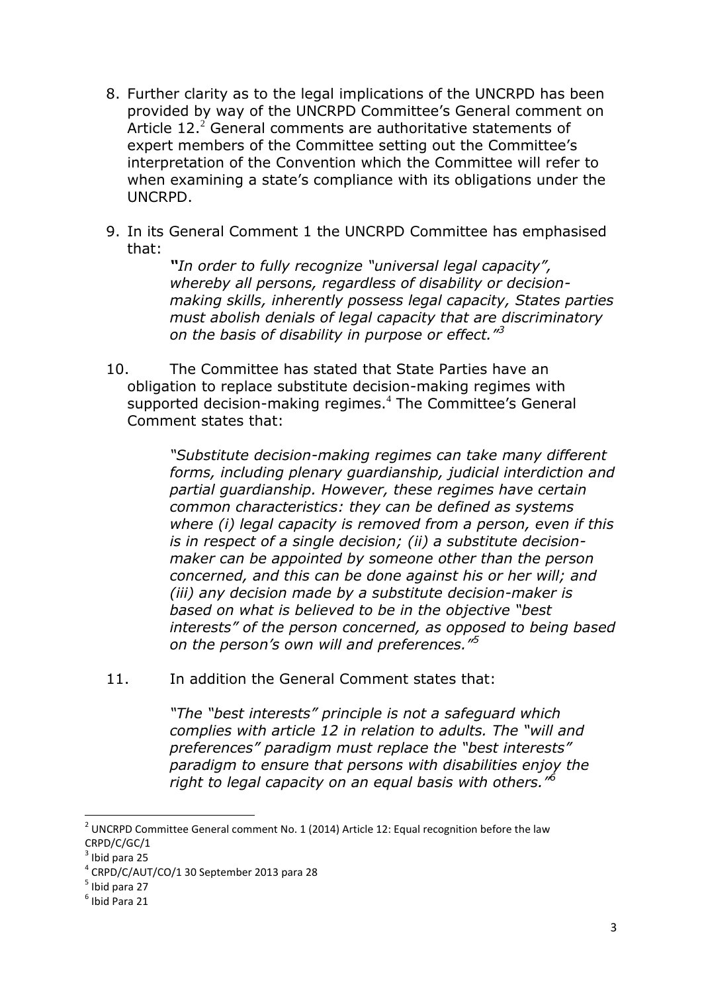- 8. Further clarity as to the legal implications of the UNCRPD has been provided by way of the UNCRPD Committee's General comment on Article  $12<sup>2</sup>$  General comments are authoritative statements of expert members of the Committee setting out the Committee's interpretation of the Convention which the Committee will refer to when examining a state's compliance with its obligations under the UNCRPD.
- 9. In its General Comment 1 the UNCRPD Committee has emphasised that:

*"In order to fully recognize "universal legal capacity", whereby all persons, regardless of disability or decisionmaking skills, inherently possess legal capacity, States parties must abolish denials of legal capacity that are discriminatory on the basis of disability in purpose or effect."<sup>3</sup>*

10. The Committee has stated that State Parties have an obligation to replace substitute decision-making regimes with supported decision-making regimes.<sup>4</sup> The Committee's General Comment states that:

> *"Substitute decision-making regimes can take many different forms, including plenary guardianship, judicial interdiction and partial guardianship. However, these regimes have certain common characteristics: they can be defined as systems where (i) legal capacity is removed from a person, even if this is in respect of a single decision; (ii) a substitute decisionmaker can be appointed by someone other than the person concerned, and this can be done against his or her will; and (iii) any decision made by a substitute decision-maker is based on what is believed to be in the objective "best interests" of the person concerned, as opposed to being based on the person's own will and preferences."<sup>5</sup>*

11. In addition the General Comment states that:

*"The "best interests" principle is not a safeguard which complies with article 12 in relation to adults. The "will and preferences" paradigm must replace the "best interests" paradigm to ensure that persons with disabilities enjoy the right to legal capacity on an equal basis with others."<sup>6</sup>*

 2 UNCRPD Committee General comment No. 1 (2014) Article 12: Equal recognition before the law CRPD/C/GC/1

 $3$  Ibid para 25

<sup>4</sup> CRPD/C/AUT/CO/1 30 September 2013 para 28

<sup>&</sup>lt;sup>5</sup> Ibid para 27

<sup>6</sup> Ibid Para 21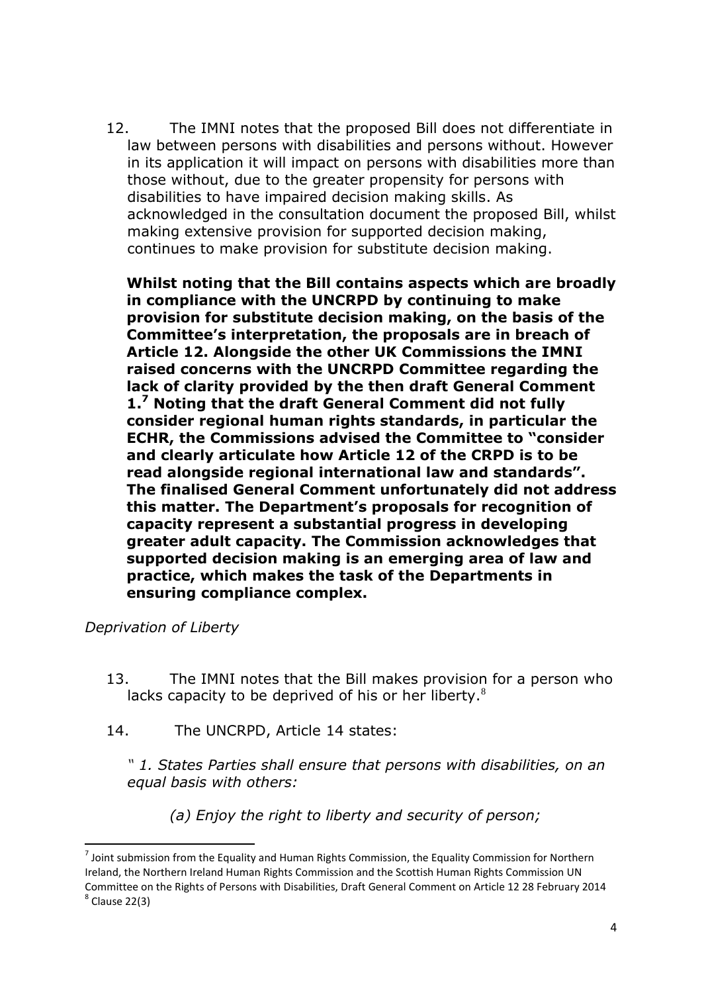12. The IMNI notes that the proposed Bill does not differentiate in law between persons with disabilities and persons without. However in its application it will impact on persons with disabilities more than those without, due to the greater propensity for persons with disabilities to have impaired decision making skills. As acknowledged in the consultation document the proposed Bill, whilst making extensive provision for supported decision making, continues to make provision for substitute decision making.

**Whilst noting that the Bill contains aspects which are broadly in compliance with the UNCRPD by continuing to make provision for substitute decision making, on the basis of the Committee's interpretation, the proposals are in breach of Article 12. Alongside the other UK Commissions the IMNI raised concerns with the UNCRPD Committee regarding the lack of clarity provided by the then draft General Comment 1.<sup>7</sup> Noting that the draft General Comment did not fully consider regional human rights standards, in particular the ECHR, the Commissions advised the Committee to "consider and clearly articulate how Article 12 of the CRPD is to be read alongside regional international law and standards". The finalised General Comment unfortunately did not address this matter. The Department's proposals for recognition of capacity represent a substantial progress in developing greater adult capacity. The Commission acknowledges that supported decision making is an emerging area of law and practice, which makes the task of the Departments in ensuring compliance complex.** 

*Deprivation of Liberty* 

**.** 

- 13. The IMNI notes that the Bill makes provision for a person who lacks capacity to be deprived of his or her liberty.<sup>8</sup>
- 14. The UNCRPD, Article 14 states:

*" 1. States Parties shall ensure that persons with disabilities, on an equal basis with others:*

*(a) Enjoy the right to liberty and security of person;* 

 $<sup>7</sup>$  Joint submission from the Equality and Human Rights Commission, the Equality Commission for Northern</sup> Ireland, the Northern Ireland Human Rights Commission and the Scottish Human Rights Commission UN Committee on the Rights of Persons with Disabilities, Draft General Comment on Article 12 28 February 2014  $<sup>8</sup>$  Clause 22(3)</sup>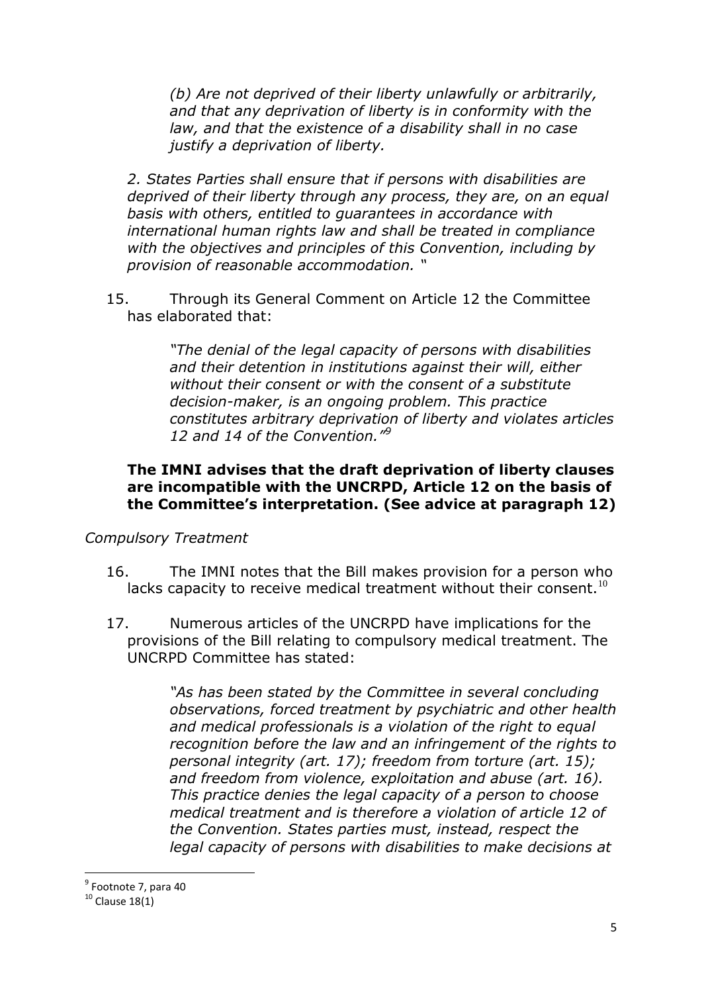*(b) Are not deprived of their liberty unlawfully or arbitrarily, and that any deprivation of liberty is in conformity with the law, and that the existence of a disability shall in no case justify a deprivation of liberty.* 

*2. States Parties shall ensure that if persons with disabilities are deprived of their liberty through any process, they are, on an equal basis with others, entitled to guarantees in accordance with international human rights law and shall be treated in compliance with the objectives and principles of this Convention, including by provision of reasonable accommodation. "*

15. Through its General Comment on Article 12 the Committee has elaborated that:

> *"The denial of the legal capacity of persons with disabilities and their detention in institutions against their will, either without their consent or with the consent of a substitute decision-maker, is an ongoing problem. This practice constitutes arbitrary deprivation of liberty and violates articles 12 and 14 of the Convention."<sup>9</sup>*

## **The IMNI advises that the draft deprivation of liberty clauses are incompatible with the UNCRPD, Article 12 on the basis of the Committee's interpretation. (See advice at paragraph 12)**

*Compulsory Treatment* 

- 16. The IMNI notes that the Bill makes provision for a person who lacks capacity to receive medical treatment without their consent.<sup>10</sup>
- 17. Numerous articles of the UNCRPD have implications for the provisions of the Bill relating to compulsory medical treatment. The UNCRPD Committee has stated:

*"As has been stated by the Committee in several concluding observations, forced treatment by psychiatric and other health and medical professionals is a violation of the right to equal recognition before the law and an infringement of the rights to personal integrity (art. 17); freedom from torture (art. 15); and freedom from violence, exploitation and abuse (art. 16). This practice denies the legal capacity of a person to choose medical treatment and is therefore a violation of article 12 of the Convention. States parties must, instead, respect the legal capacity of persons with disabilities to make decisions at* 

<sup>1</sup> <sup>9</sup> Footnote 7, para 40

 $10$  Clause 18(1)